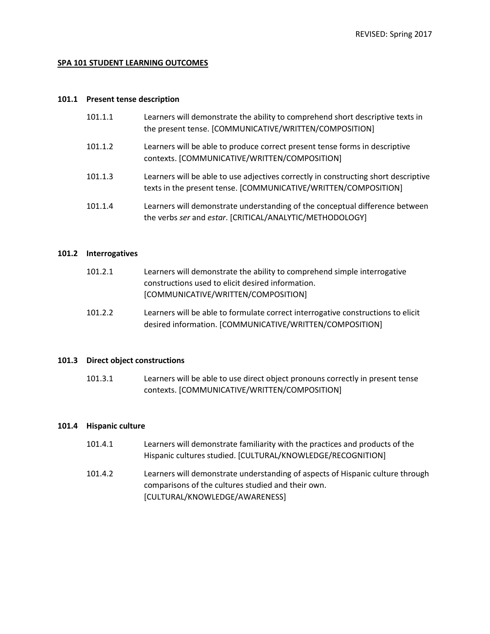# **SPA 101 STUDENT LEARNING OUTCOMES**

#### **101.1 Present tense description**

| 101.1.1 | Learners will demonstrate the ability to comprehend short descriptive texts in<br>the present tense. [COMMUNICATIVE/WRITTEN/COMPOSITION]               |
|---------|--------------------------------------------------------------------------------------------------------------------------------------------------------|
| 101.1.2 | Learners will be able to produce correct present tense forms in descriptive<br>contexts. [COMMUNICATIVE/WRITTEN/COMPOSITION]                           |
| 101.1.3 | Learners will be able to use adjectives correctly in constructing short descriptive<br>texts in the present tense. [COMMUNICATIVE/WRITTEN/COMPOSITION] |
| 101.1.4 | Learners will demonstrate understanding of the conceptual difference between<br>the verbs ser and estar. [CRITICAL/ANALYTIC/METHODOLOGY]               |

## **101.2 Interrogatives**

| 101.2.1 | Learners will demonstrate the ability to comprehend simple interrogative      |
|---------|-------------------------------------------------------------------------------|
|         | constructions used to elicit desired information.                             |
|         | [COMMUNICATIVE/WRITTEN/COMPOSITION]                                           |
| 101 7 7 | Loernare will be able to farmulate correct interrogative constructions to ali |

101.2.2 Learners will be able to formulate correct interrogative constructions to elicit desired information. [COMMUNICATIVE/WRITTEN/COMPOSITION]

## **101.3 Direct object constructions**

101.3.1 Learners will be able to use direct object pronouns correctly in present tense contexts. [COMMUNICATIVE/WRITTEN/COMPOSITION]

# **101.4 Hispanic culture**

| 101.4.1 | Learners will demonstrate familiarity with the practices and products of the<br>Hispanic cultures studied. [CULTURAL/KNOWLEDGE/RECOGNITION] |
|---------|---------------------------------------------------------------------------------------------------------------------------------------------|
| 101.4.2 | Learners will demonstrate understanding of aspects of Hispanic culture through                                                              |
|         | comparisons of the cultures studied and their own.                                                                                          |

[CULTURAL/KNOWLEDGE/AWARENESS]